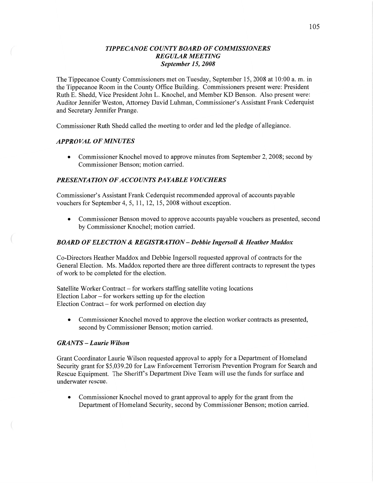### *T IPPECANOE COUNTY BOARD* OF *COMMISSIONERS REGULAR MEETING September* 15, *2008*

The Tippecanoe County Commissioners met on Tuesday, September 15 *,* 2008 at **10:00** a. m. in the Tippecanoe Room in the County Office Building. Commissioners present were: President Ruth B. Shedd, **Vice** President John L. Knochel, and Member KD Benson. Also present were: Auditor Jennifer Weston, Attorney David Luhman, Commissioner's Assistant Frank Cederquist and Secretary Jennifer Prange.

Commissioner Ruth Shedd called the meeting to order and led the pledge of allegiance.

## *APPROVAL* OF *MINUTES*

• Commissioner Knochel moved to approve minutes from September 2, 2008; second by Commissioner Benson; motion carried.

## **PRESENTATION OF ACCOUNTS PAYABLE VOUCHERS**

Commissioner's Assistant Frank Cederquist recommended approval of accounts payable vouchers for September 4, 5, 11, 12, 15, 2008 without exception.

• Commissioner Benson moved to approve accounts payable vouchers as presented, second by Commissioner Knochel; motion carried.

## *BOARD* OF *ELECTION & REGISTRATION* — *Debbie Ingersoll & Heather Maddox*

Co-Directors Heather Maddox and Debbie Ingersoll requested approval of contracts for the General Election. Ms. Maddox reported there are three different contracts to represent the types of work to be completed for the election.

Satellite Worker Contract **—** for workers staffing satellite voting locations Election Labor — for workers setting up for the election Election Contract — for work performed on election day

**0** Commissioner Knochel moved to approve the election worker contracts as presented, second by Commissioner Benson; motion carried.

## *GRANTS* **—** *Laurie Wilson*

Grant Coordinator Laurie Wilson'requested approval to apply for **a** Department of Homeland Security grant for \$5,039.20 for Law Enforcement Terrorism Prevention Program for Search and Rescue Equipment. The Sheriff *3* Department Dive Team will use the funds for surface and underwater rescue.

**0** Commissioner Knochel moved to grant approval to apply for the grant from the Department of Homeland Security, second by Commissioner Benson; motion carried.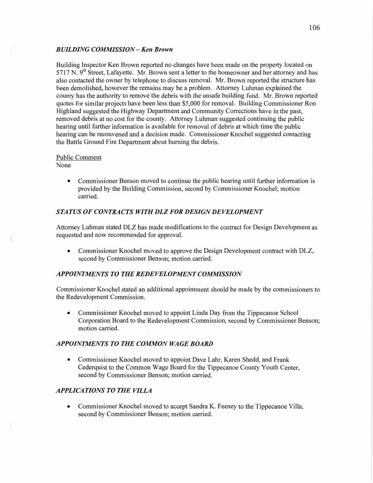### *BUILDING COWISSION* **—** Ken *Brown*

Building Inspector Ken Brown reported no changes have been made on the property located on  $5717$  N.  $9<sup>th</sup>$  Street, Lafayette. Mr. Brown sent a letter to the homeowner and her attorney and has also contacted the owner by telephone to discuss removal. Mr. Brown reported the structure has been demolished, however the remains may be a problem. Attorney Luhman explained the county has the authority to remove the debris with the unsafe building fimd. Mr. Brown reported quotes for similar projects have been less than \$5,000 for removal. Building Commissioner Ron Highland suggested the Highway Department and Community Corrections have in the past, removed debris at no cost for the **county.** Attorney Luhman suggested continuing the public hearing until further information is available for removal of debris at which time the public hearing can be reconvened and **a** decision **made.** Commissioner Knochel suggested contacting the Battle Ground Fire Department about buming the debris.

### Public Comment

None

**0** Commissioner Benson moved to continue the public hearing **until** further information is provided by the Building Commission, second by Commissioner Knochel; motion carried.

## **STATUS OF CONTRACTS WITH DLZ FOR DESIGN DEVELOPMENT**

Attorney Luhman stated DLZ has made modifications to the contract for Design Development as requested and now recommended for approval.

• Commissioner Knochel moved to approve the Design Development contract with DLZ, second by Commissioner Benson; motion carried.

## *APPOINTMENTS* TO THE *REDEVELOPMENT COMMISSION*

Commissioner Knochel **stated** an **additional** appointment should be made by the commissioners to the Redevelopment Commission.

**0** Commissioner Knochel moved to appoint Linda Day from the Tippecanoe School Corporation Board to the Redevelopment Commission, second by Commissioner Benson; motion carried.

### *APPOINTMENTS TO THE COMMON WAGE BOARD*

**0** Commissioner Knochel moved to appoint Dave Lahr, Karen **Shedd,** and **Frank**  Cederquist to the Common Wage Board for the Tippecanoe County Youth Center, second by Commissioner Benson; motion carried.

## *APPLICATIONS* TO THE *VILLA*

*0* Commissioner Knochel moved to accept Sandra K. Feeney to the Tippecanoe Villa, second by Commissioner Benson; motion carried.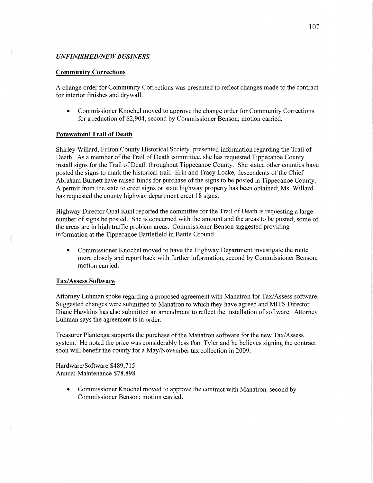### *UNFINISHED/NEW BUSINESS*

#### **Community Corrections**

A change order for Community Corrections was presented to reflect changes made to the contract for interior **finishes** and drywall.

**0** Commissioner Knochel moved to approve the change order for Community Corrections for a reduction of \$2,904, second by Commissioner Benson; motion carried.

### **Potawatomi Trail** of **Death**

Shirley Willard, Fulton County Historical Society, presented information regarding the Trail of Death. As **a** member of the Trail of Death committee, she has requested Tippecanoe County install signs for the Trail of **Death** throughout Tippecanoe County. She stated other counties have posted the signs to mark the historical trail. Erin and Tracy Locke, descendents of the Chief Abraham Burnett have raised funds for purchase of the signs to be posted in Tippecanoe County. **A** permit from the state to erect signs on state highway property has been obtained; Ms. Willard has requested the county highway department erect 18 signs.

Highway Director Opal Kuhl reported the committee for the **Trail** of Death is requesting a large number of signs be posted. She is concerned with the amount and the areas to be posted; some of the areas are in high traffic problem areas. Commissioner Benson suggested providing information at the Tippecanoe Battlefield in Battle Ground.

**0** Commissioner Knochel moved to have the Highway Department investigate the route more closely and report back with finther **information,** second by Commissioner Benson; motion carried.

### **Tax/Assess Software**

 $($ 

Attorney Luhman spoke regarding a proposed agreement with Manatron for Tax/Assess sofiware. Suggested changes were submitted to Manatron to which they have agreed and **MITS** Director Diane Hawkins has also submitted an amendment to reflect the installation of software. Attorney **Luhman** says the agreement is in order.

Treasurer Plantenga supports the purchase of the Manatron software for the new Tax/Assess system. He noted the price was considerably less than Tyler and he believes signing the contract soon will benefit the county for **a** May/November tax collection in 2009.

Hardware/Software \$489,715 **Annual** Maintenance \$78,898

> **0** Commissioner Knochel **moved** to approve the contract with Manatron, second by Commissioner Benson; motion carried.